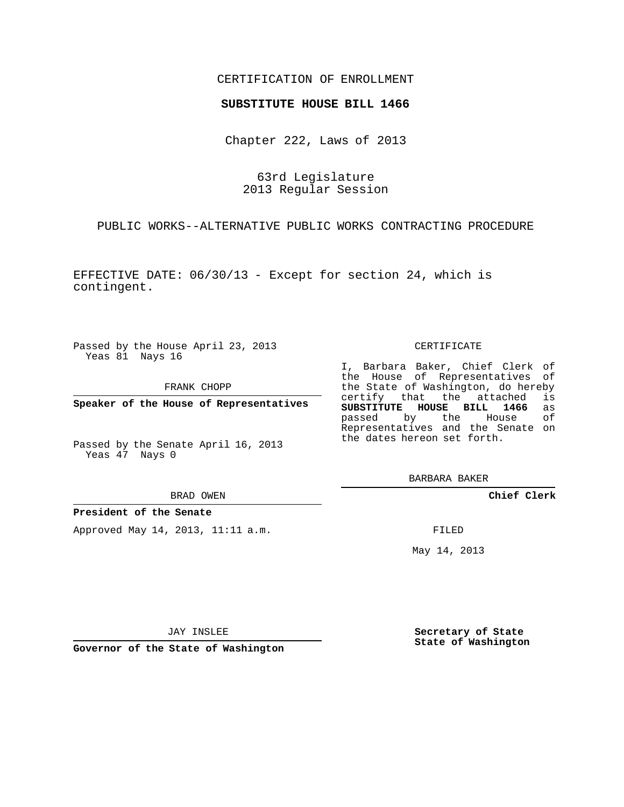# CERTIFICATION OF ENROLLMENT

## **SUBSTITUTE HOUSE BILL 1466**

Chapter 222, Laws of 2013

63rd Legislature 2013 Regular Session

PUBLIC WORKS--ALTERNATIVE PUBLIC WORKS CONTRACTING PROCEDURE

EFFECTIVE DATE: 06/30/13 - Except for section 24, which is contingent.

Passed by the House April 23, 2013 Yeas 81 Nays 16

FRANK CHOPP

**Speaker of the House of Representatives**

Passed by the Senate April 16, 2013 Yeas 47 Nays 0

BRAD OWEN

## **President of the Senate**

Approved May 14, 2013, 11:11 a.m.

#### CERTIFICATE

I, Barbara Baker, Chief Clerk of the House of Representatives of the State of Washington, do hereby<br>certify that the attached is certify that the attached **SUBSTITUTE HOUSE BILL 1466** as passed by the House of Representatives and the Senate on the dates hereon set forth.

BARBARA BAKER

**Chief Clerk**

FILED

May 14, 2013

JAY INSLEE

**Governor of the State of Washington**

**Secretary of State State of Washington**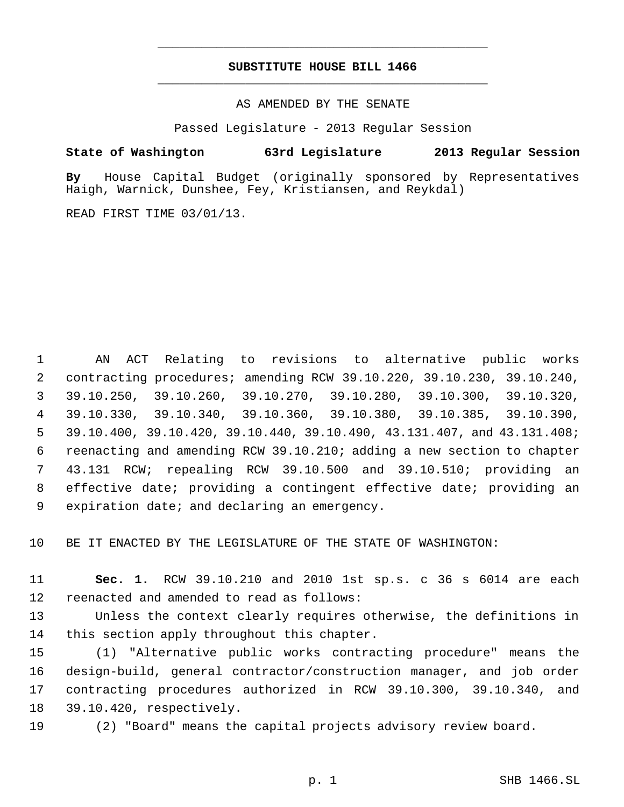# **SUBSTITUTE HOUSE BILL 1466** \_\_\_\_\_\_\_\_\_\_\_\_\_\_\_\_\_\_\_\_\_\_\_\_\_\_\_\_\_\_\_\_\_\_\_\_\_\_\_\_\_\_\_\_\_

\_\_\_\_\_\_\_\_\_\_\_\_\_\_\_\_\_\_\_\_\_\_\_\_\_\_\_\_\_\_\_\_\_\_\_\_\_\_\_\_\_\_\_\_\_

AS AMENDED BY THE SENATE

Passed Legislature - 2013 Regular Session

## **State of Washington 63rd Legislature 2013 Regular Session**

**By** House Capital Budget (originally sponsored by Representatives Haigh, Warnick, Dunshee, Fey, Kristiansen, and Reykdal)

READ FIRST TIME 03/01/13.

 AN ACT Relating to revisions to alternative public works contracting procedures; amending RCW 39.10.220, 39.10.230, 39.10.240, 39.10.250, 39.10.260, 39.10.270, 39.10.280, 39.10.300, 39.10.320, 39.10.330, 39.10.340, 39.10.360, 39.10.380, 39.10.385, 39.10.390, 39.10.400, 39.10.420, 39.10.440, 39.10.490, 43.131.407, and 43.131.408; reenacting and amending RCW 39.10.210; adding a new section to chapter 43.131 RCW; repealing RCW 39.10.500 and 39.10.510; providing an effective date; providing a contingent effective date; providing an expiration date; and declaring an emergency.

BE IT ENACTED BY THE LEGISLATURE OF THE STATE OF WASHINGTON:

 **Sec. 1.** RCW 39.10.210 and 2010 1st sp.s. c 36 s 6014 are each reenacted and amended to read as follows:

 Unless the context clearly requires otherwise, the definitions in this section apply throughout this chapter.

 (1) "Alternative public works contracting procedure" means the design-build, general contractor/construction manager, and job order contracting procedures authorized in RCW 39.10.300, 39.10.340, and 39.10.420, respectively.

(2) "Board" means the capital projects advisory review board.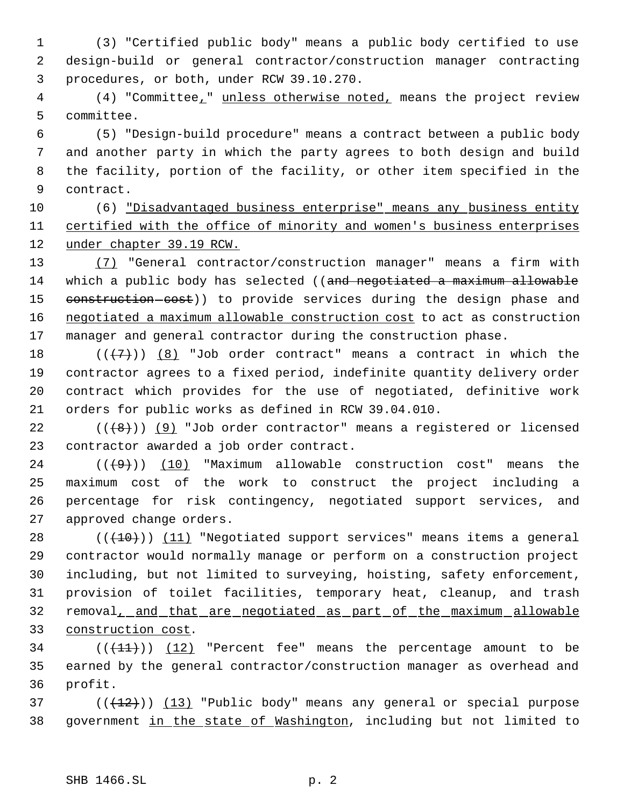(3) "Certified public body" means a public body certified to use design-build or general contractor/construction manager contracting procedures, or both, under RCW 39.10.270.

 (4) "Committee," unless otherwise noted, means the project review committee.

 (5) "Design-build procedure" means a contract between a public body and another party in which the party agrees to both design and build the facility, portion of the facility, or other item specified in the contract.

 (6) "Disadvantaged business enterprise" means any business entity certified with the office of minority and women's business enterprises under chapter 39.19 RCW.

 (7) "General contractor/construction manager" means a firm with 14 which a public body has selected ((and negotiated a maximum allowable 15 construction-cost)) to provide services during the design phase and negotiated a maximum allowable construction cost to act as construction manager and general contractor during the construction phase.

 $((+7+))$   $(8)$  "Job order contract" means a contract in which the contractor agrees to a fixed period, indefinite quantity delivery order contract which provides for the use of negotiated, definitive work orders for public works as defined in RCW 39.04.010.

22  $((+8))$  (9) "Job order contractor" means a registered or licensed contractor awarded a job order contract.

 $((+9))$   $(10)$  "Maximum allowable construction cost" means the maximum cost of the work to construct the project including a percentage for risk contingency, negotiated support services, and approved change orders.

 $((+10))$   $(11)$  "Negotiated support services" means items a general contractor would normally manage or perform on a construction project including, but not limited to surveying, hoisting, safety enforcement, provision of toilet facilities, temporary heat, cleanup, and trash 32 removal, and that are negotiated as part of the maximum allowable construction cost.

34  $((+1)^{n})$   $(12)$  "Percent fee" means the percentage amount to be earned by the general contractor/construction manager as overhead and profit.

 ( $(\overline{+12})$ )  $(13)$  "Public body" means any general or special purpose government in the state of Washington, including but not limited to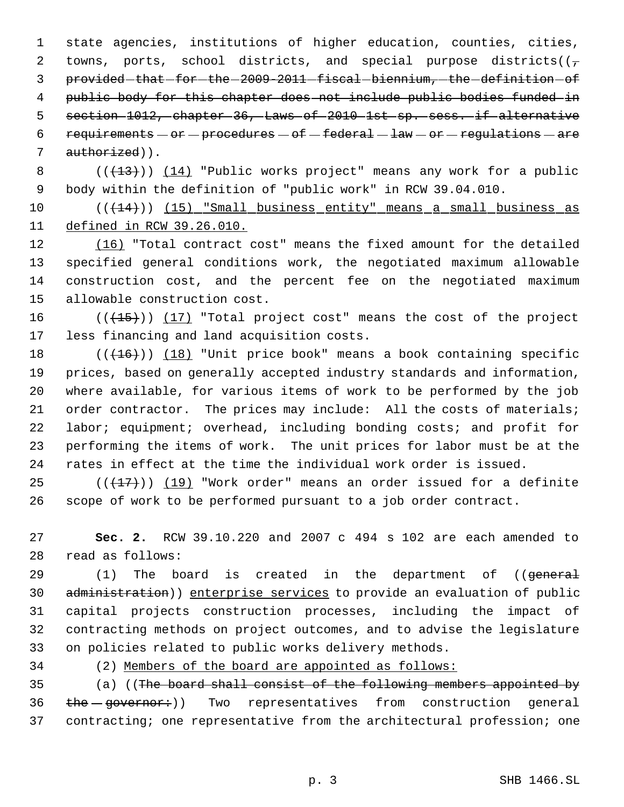state agencies, institutions of higher education, counties, cities, 2 towns, ports, school districts, and special purpose districts( $(\tau$ 3 provided that for the 2009-2011 fiscal biennium, the definition of public body for this chapter does not include public bodies funded in section 1012, chapter 36, Laws of 2010 1st sp. sess. if alternative 6 requirements  $-$  or  $-$  procedures  $-$  of  $-$  federal  $-$  law  $-$  or  $-$  regulations  $-$  are 7 authorized)).

8  $((+13))$   $(14)$  "Public works project" means any work for a public body within the definition of "public work" in RCW 39.04.010.

10 (( $(14)$ )) (15) "Small business entity" means a small business as defined in RCW 39.26.010.

 (16) "Total contract cost" means the fixed amount for the detailed specified general conditions work, the negotiated maximum allowable construction cost, and the percent fee on the negotiated maximum allowable construction cost.

 $((+15))$   $(17)$  "Total project cost" means the cost of the project less financing and land acquisition costs.

 $((+16))$   $(18)$  "Unit price book" means a book containing specific prices, based on generally accepted industry standards and information, where available, for various items of work to be performed by the job order contractor. The prices may include: All the costs of materials; labor; equipment; overhead, including bonding costs; and profit for performing the items of work. The unit prices for labor must be at the rates in effect at the time the individual work order is issued.

25  $((+17))$   $(19)$  "Work order" means an order issued for a definite scope of work to be performed pursuant to a job order contract.

 **Sec. 2.** RCW 39.10.220 and 2007 c 494 s 102 are each amended to read as follows:

29 (1) The board is created in the department of ((general administration)) enterprise services to provide an evaluation of public capital projects construction processes, including the impact of contracting methods on project outcomes, and to advise the legislature on policies related to public works delivery methods.

(2) Members of the board are appointed as follows:

 (a) ((The board shall consist of the following members appointed by 36 the governor:)) Two representatives from construction general contracting; one representative from the architectural profession; one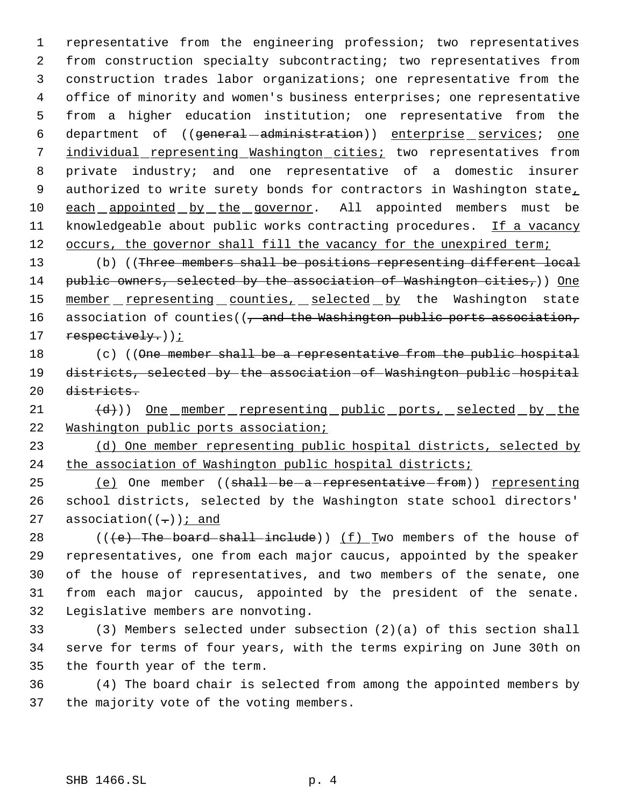1 representative from the engineering profession; two representatives 2 from construction specialty subcontracting; two representatives from 3 construction trades labor organizations; one representative from the 4 office of minority and women's business enterprises; one representative 5 from a higher education institution; one representative from the 6 department of ((general-administration)) enterprise services; one 7 individual representing Washington cities; two representatives from 8 private industry; and one representative of a domestic insurer 9 authorized to write surety bonds for contractors in Washington state, 10 each appointed by the governor. All appointed members must be 11 knowledgeable about public works contracting procedures. If a vacancy 12 occurs, the governor shall fill the vacancy for the unexpired term;

13 (b) ((Three members shall be positions representing different local 14 public owners, selected by the association of Washington cities,)) One 15 member representing counties, selected by the Washington state 16 association of counties((, and the Washington public ports association, 17 respectively.));

18 (c) ((One member shall be a representative from the public hospital 19 districts, selected by the association of Washington public hospital 20 districts.

21 (d)) One member representing public ports, selected by the 22 Washington public ports association;

23 (d) One member representing public hospital districts, selected by 24 the association of Washington public hospital districts;

25 (e) One member ((shall-be-a-representative-from)) representing 26 school districts, selected by the Washington state school directors' 27 association( $(-)$ ) *i* and

28 ( $(\text{e})$ -The-board-shall-include)) (f) Two members of the house of representatives, one from each major caucus, appointed by the speaker of the house of representatives, and two members of the senate, one from each major caucus, appointed by the president of the senate. Legislative members are nonvoting.

33 (3) Members selected under subsection (2)(a) of this section shall 34 serve for terms of four years, with the terms expiring on June 30th on 35 the fourth year of the term.

36 (4) The board chair is selected from among the appointed members by 37 the majority vote of the voting members.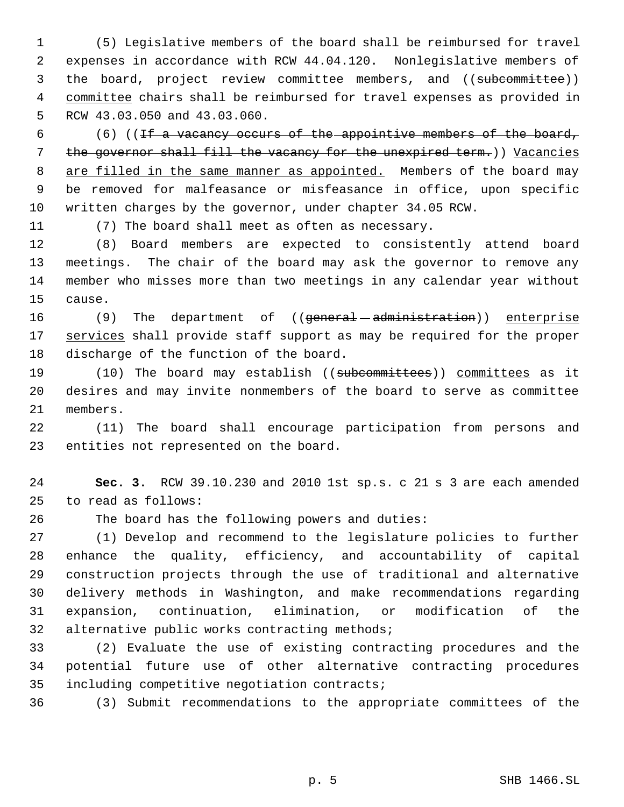(5) Legislative members of the board shall be reimbursed for travel expenses in accordance with RCW 44.04.120. Nonlegislative members of 3 the board, project review committee members, and ((subcommittee)) 4 committee chairs shall be reimbursed for travel expenses as provided in RCW 43.03.050 and 43.03.060.

 (6) ((If a vacancy occurs of the appointive members of the board, the governor shall fill the vacancy for the unexpired term.)) Vacancies 8 are filled in the same manner as appointed. Members of the board may be removed for malfeasance or misfeasance in office, upon specific written charges by the governor, under chapter 34.05 RCW.

(7) The board shall meet as often as necessary.

 (8) Board members are expected to consistently attend board meetings. The chair of the board may ask the governor to remove any member who misses more than two meetings in any calendar year without cause.

16 (9) The department of ((general - administration)) enterprise 17 services shall provide staff support as may be required for the proper discharge of the function of the board.

19 (10) The board may establish ((subcommittees)) committees as it desires and may invite nonmembers of the board to serve as committee members.

 (11) The board shall encourage participation from persons and entities not represented on the board.

 **Sec. 3.** RCW 39.10.230 and 2010 1st sp.s. c 21 s 3 are each amended to read as follows:

The board has the following powers and duties:

 (1) Develop and recommend to the legislature policies to further enhance the quality, efficiency, and accountability of capital construction projects through the use of traditional and alternative delivery methods in Washington, and make recommendations regarding expansion, continuation, elimination, or modification of the 32 alternative public works contracting methods;

 (2) Evaluate the use of existing contracting procedures and the potential future use of other alternative contracting procedures including competitive negotiation contracts;

(3) Submit recommendations to the appropriate committees of the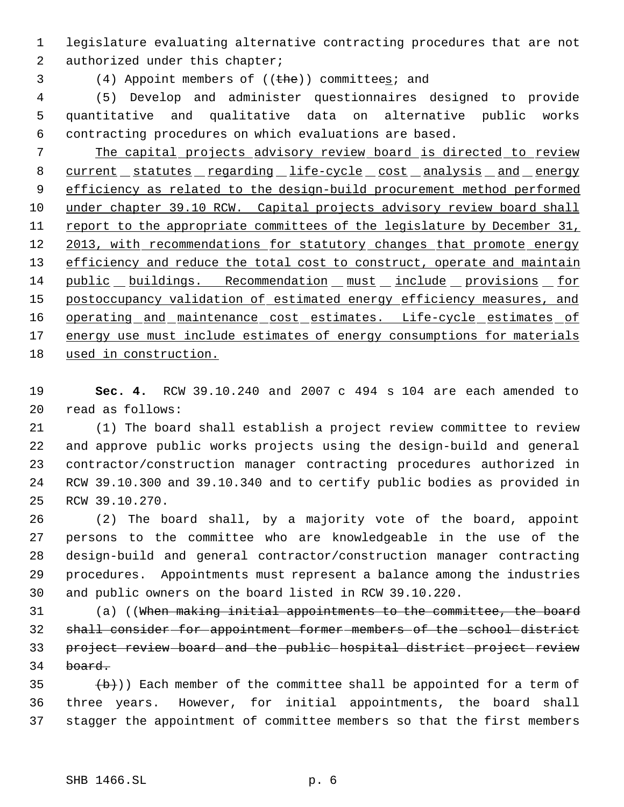legislature evaluating alternative contracting procedures that are not 2 authorized under this chapter;

3 (4) Appoint members of ((the)) committees; and

 (5) Develop and administer questionnaires designed to provide quantitative and qualitative data on alternative public works contracting procedures on which evaluations are based.

 The capital projects advisory review board is directed to review 8 current statutes regarding life-cycle cost analysis and energy efficiency as related to the design-build procurement method performed 10 under chapter 39.10 RCW. Capital projects advisory review board shall 11 report to the appropriate committees of the legislature by December 31, 12 2013, with recommendations for statutory changes that promote energy 13 efficiency and reduce the total cost to construct, operate and maintain public buildings. Recommendation must include provisions for 15 postoccupancy validation of estimated energy efficiency measures, and 16 operating and maintenance cost estimates. Life-cycle estimates of 17 energy use must include estimates of energy consumptions for materials used in construction.

 **Sec. 4.** RCW 39.10.240 and 2007 c 494 s 104 are each amended to read as follows:

 (1) The board shall establish a project review committee to review and approve public works projects using the design-build and general contractor/construction manager contracting procedures authorized in RCW 39.10.300 and 39.10.340 and to certify public bodies as provided in RCW 39.10.270.

 (2) The board shall, by a majority vote of the board, appoint persons to the committee who are knowledgeable in the use of the design-build and general contractor/construction manager contracting procedures. Appointments must represent a balance among the industries and public owners on the board listed in RCW 39.10.220.

 (a) ((When making initial appointments to the committee, the board shall consider for appointment former members of the school district project review board and the public hospital district project review board.

 $(b+)$ ) Each member of the committee shall be appointed for a term of three years. However, for initial appointments, the board shall stagger the appointment of committee members so that the first members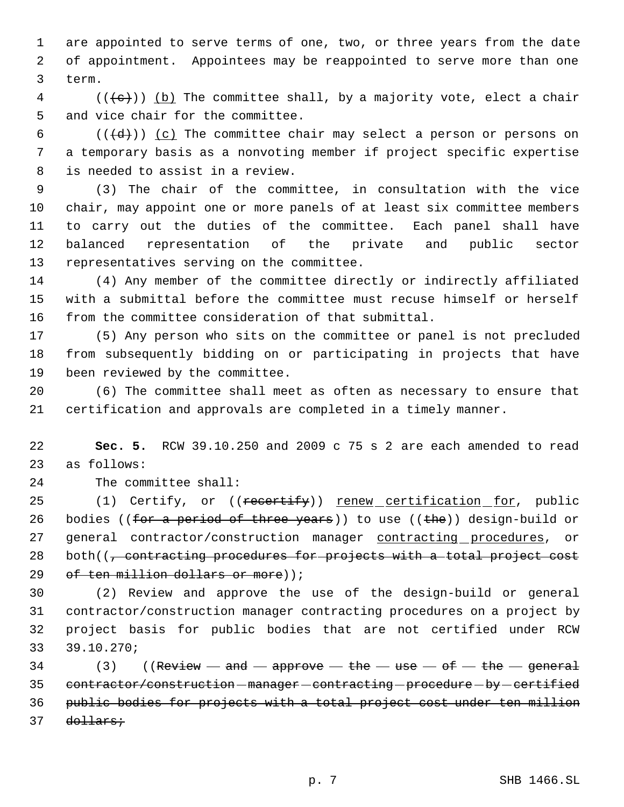are appointed to serve terms of one, two, or three years from the date of appointment. Appointees may be reappointed to serve more than one term.

 (( $\left(\frac{1}{e}\right)$ ) (b) The committee shall, by a majority vote, elect a chair and vice chair for the committee.

6 ( $(\overline{\{d\}})$ ) (c) The committee chair may select a person or persons on a temporary basis as a nonvoting member if project specific expertise is needed to assist in a review.

 (3) The chair of the committee, in consultation with the vice chair, may appoint one or more panels of at least six committee members to carry out the duties of the committee. Each panel shall have balanced representation of the private and public sector representatives serving on the committee.

 (4) Any member of the committee directly or indirectly affiliated with a submittal before the committee must recuse himself or herself from the committee consideration of that submittal.

 (5) Any person who sits on the committee or panel is not precluded from subsequently bidding on or participating in projects that have been reviewed by the committee.

 (6) The committee shall meet as often as necessary to ensure that certification and approvals are completed in a timely manner.

 **Sec. 5.** RCW 39.10.250 and 2009 c 75 s 2 are each amended to read as follows:

The committee shall:

25 (1) Certify, or ((recertify)) renew certification for, public 26 bodies ((for a period of three years)) to use ((the)) design-build or 27 general contractor/construction manager contracting procedures, or 28 both( $\sqrt{7}$  contracting procedures for projects with a total project cost 29 of ten million dollars or more));

 (2) Review and approve the use of the design-build or general contractor/construction manager contracting procedures on a project by project basis for public bodies that are not certified under RCW 39.10.270;

34 (3) ((Review  $-\text{ and }-\text{ approve}-\text{ the }-\text{ use}-\text{ of}-\text{ the}-\text{ general}$ 35 contractor/construction-manager-contracting-procedure-by-certified public bodies for projects with a total project cost under ten million 37 <del>dollars;</del>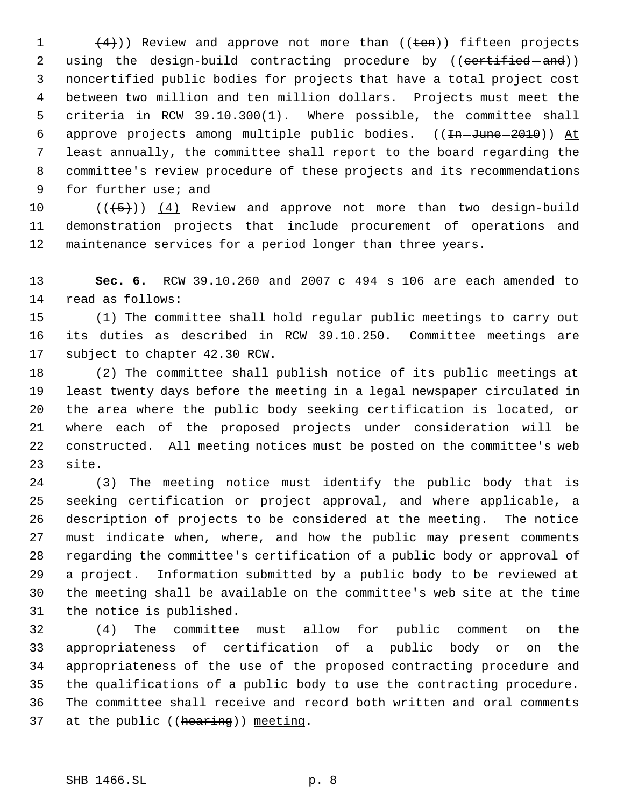$(4)$ )) Review and approve not more than ((ten)) fifteen projects 2 using the design-build contracting procedure by ((certified and)) noncertified public bodies for projects that have a total project cost between two million and ten million dollars. Projects must meet the criteria in RCW 39.10.300(1). Where possible, the committee shall 6 approve projects among multiple public bodies. ((In-June-2010)) At least annually, the committee shall report to the board regarding the committee's review procedure of these projects and its recommendations for further use; and

10  $((+5))$   $(4)$  Review and approve not more than two design-build demonstration projects that include procurement of operations and maintenance services for a period longer than three years.

 **Sec. 6.** RCW 39.10.260 and 2007 c 494 s 106 are each amended to read as follows:

 (1) The committee shall hold regular public meetings to carry out its duties as described in RCW 39.10.250. Committee meetings are subject to chapter 42.30 RCW.

 (2) The committee shall publish notice of its public meetings at least twenty days before the meeting in a legal newspaper circulated in the area where the public body seeking certification is located, or where each of the proposed projects under consideration will be constructed. All meeting notices must be posted on the committee's web site.

 (3) The meeting notice must identify the public body that is seeking certification or project approval, and where applicable, a description of projects to be considered at the meeting. The notice must indicate when, where, and how the public may present comments regarding the committee's certification of a public body or approval of a project. Information submitted by a public body to be reviewed at the meeting shall be available on the committee's web site at the time the notice is published.

 (4) The committee must allow for public comment on the appropriateness of certification of a public body or on the appropriateness of the use of the proposed contracting procedure and the qualifications of a public body to use the contracting procedure. The committee shall receive and record both written and oral comments 37 at the public ((hearing)) meeting.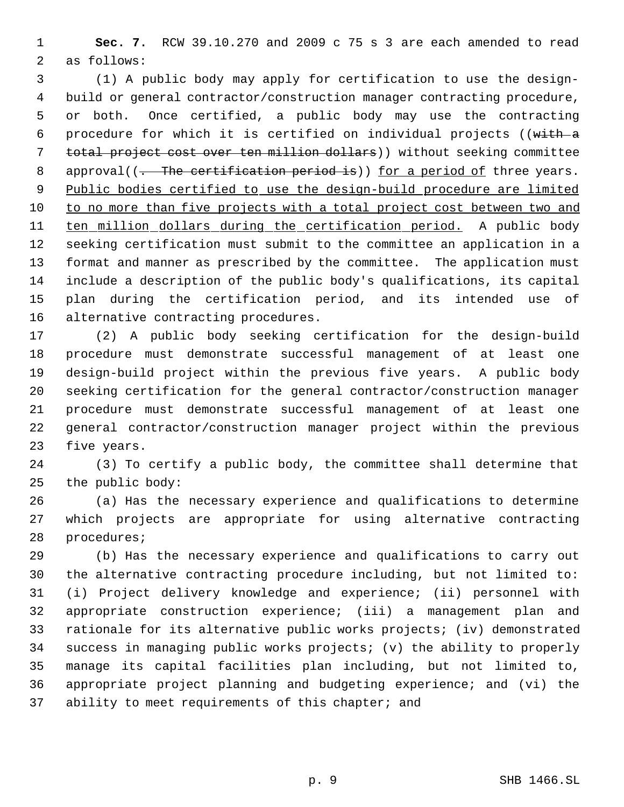**Sec. 7.** RCW 39.10.270 and 2009 c 75 s 3 are each amended to read as follows:

 (1) A public body may apply for certification to use the design- build or general contractor/construction manager contracting procedure, or both. Once certified, a public body may use the contracting procedure for which it is certified on individual projects ((with a total project cost over ten million dollars)) without seeking committee 8 approval((. The certification period is)) for a period of three years. Public bodies certified to use the design-build procedure are limited to no more than five projects with a total project cost between two and 11 ten million dollars during the certification period. A public body seeking certification must submit to the committee an application in a format and manner as prescribed by the committee. The application must include a description of the public body's qualifications, its capital plan during the certification period, and its intended use of alternative contracting procedures.

 (2) A public body seeking certification for the design-build procedure must demonstrate successful management of at least one design-build project within the previous five years. A public body seeking certification for the general contractor/construction manager procedure must demonstrate successful management of at least one general contractor/construction manager project within the previous five years.

 (3) To certify a public body, the committee shall determine that the public body:

 (a) Has the necessary experience and qualifications to determine which projects are appropriate for using alternative contracting procedures;

 (b) Has the necessary experience and qualifications to carry out the alternative contracting procedure including, but not limited to: (i) Project delivery knowledge and experience; (ii) personnel with appropriate construction experience; (iii) a management plan and rationale for its alternative public works projects; (iv) demonstrated success in managing public works projects; (v) the ability to properly manage its capital facilities plan including, but not limited to, appropriate project planning and budgeting experience; and (vi) the 37 ability to meet requirements of this chapter; and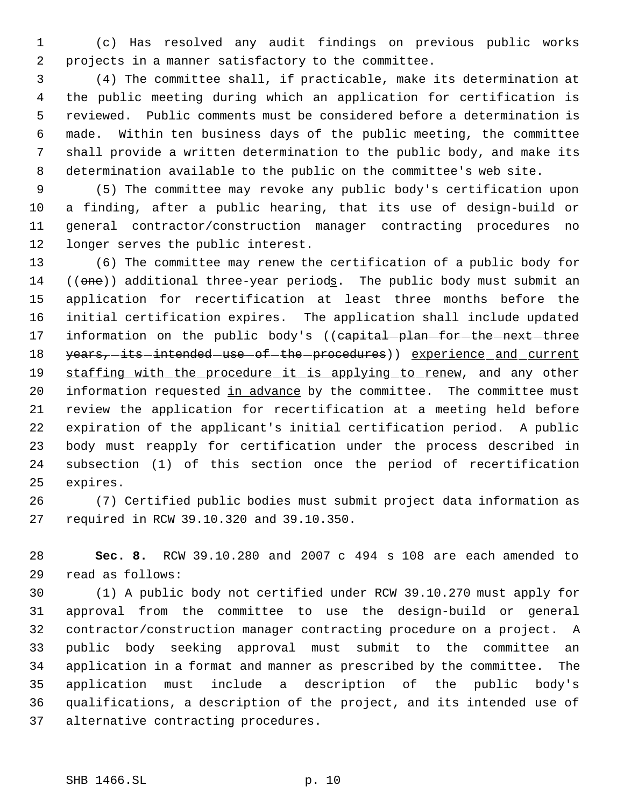(c) Has resolved any audit findings on previous public works projects in a manner satisfactory to the committee.

 (4) The committee shall, if practicable, make its determination at the public meeting during which an application for certification is reviewed. Public comments must be considered before a determination is made. Within ten business days of the public meeting, the committee shall provide a written determination to the public body, and make its determination available to the public on the committee's web site.

 (5) The committee may revoke any public body's certification upon a finding, after a public hearing, that its use of design-build or general contractor/construction manager contracting procedures no longer serves the public interest.

 (6) The committee may renew the certification of a public body for 14 ((one)) additional three-year periods. The public body must submit an application for recertification at least three months before the initial certification expires. The application shall include updated 17 information on the public body's ((capital-plan-for-the-next-three 18 years, its intended use of the procedures) experience and current 19 staffing with the procedure it is applying to renew, and any other 20 information requested in advance by the committee. The committee must review the application for recertification at a meeting held before expiration of the applicant's initial certification period. A public body must reapply for certification under the process described in subsection (1) of this section once the period of recertification expires.

 (7) Certified public bodies must submit project data information as required in RCW 39.10.320 and 39.10.350.

 **Sec. 8.** RCW 39.10.280 and 2007 c 494 s 108 are each amended to read as follows:

 (1) A public body not certified under RCW 39.10.270 must apply for approval from the committee to use the design-build or general contractor/construction manager contracting procedure on a project. A public body seeking approval must submit to the committee an application in a format and manner as prescribed by the committee. The application must include a description of the public body's qualifications, a description of the project, and its intended use of alternative contracting procedures.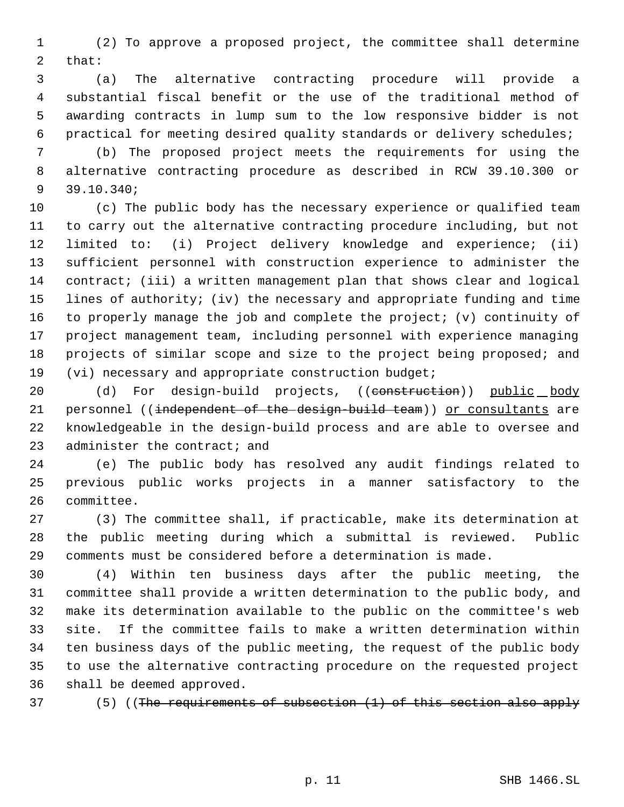(2) To approve a proposed project, the committee shall determine that:

 (a) The alternative contracting procedure will provide a substantial fiscal benefit or the use of the traditional method of awarding contracts in lump sum to the low responsive bidder is not practical for meeting desired quality standards or delivery schedules;

 (b) The proposed project meets the requirements for using the alternative contracting procedure as described in RCW 39.10.300 or 39.10.340;

 (c) The public body has the necessary experience or qualified team to carry out the alternative contracting procedure including, but not limited to: (i) Project delivery knowledge and experience; (ii) sufficient personnel with construction experience to administer the contract; (iii) a written management plan that shows clear and logical lines of authority; (iv) the necessary and appropriate funding and time to properly manage the job and complete the project; (v) continuity of project management team, including personnel with experience managing projects of similar scope and size to the project being proposed; and (vi) necessary and appropriate construction budget;

20 (d) For design-build projects, ((construction)) public body 21 personnel ((independent of the design-build team)) or consultants are knowledgeable in the design-build process and are able to oversee and 23 administer the contract; and

 (e) The public body has resolved any audit findings related to previous public works projects in a manner satisfactory to the committee.

 (3) The committee shall, if practicable, make its determination at the public meeting during which a submittal is reviewed. Public comments must be considered before a determination is made.

 (4) Within ten business days after the public meeting, the committee shall provide a written determination to the public body, and make its determination available to the public on the committee's web site. If the committee fails to make a written determination within ten business days of the public meeting, the request of the public body to use the alternative contracting procedure on the requested project shall be deemed approved.

(5) ((The requirements of subsection (1) of this section also apply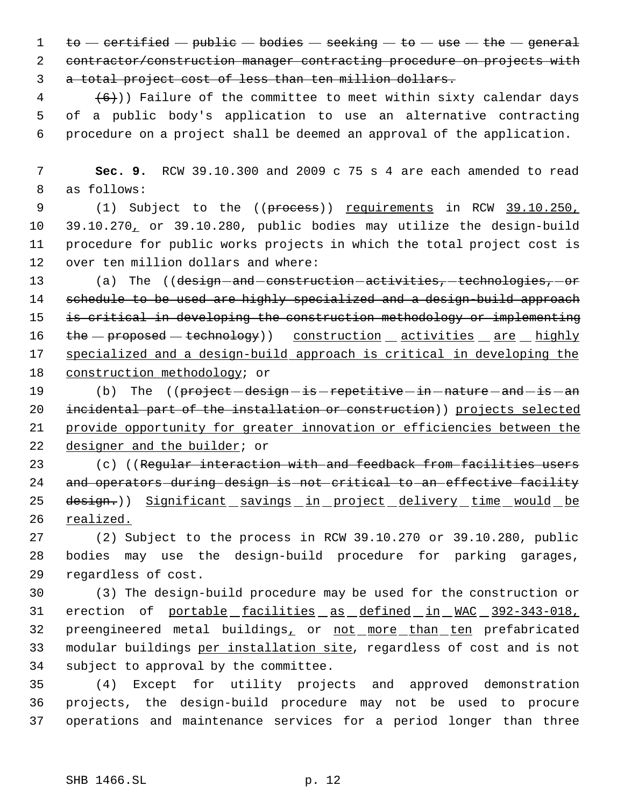1 to  $-$  certified  $-$  public  $-$  bodies  $-$  seeking  $-$  to  $-$  use  $-$  the  $-$  general contractor/construction manager contracting procedure on projects with a total project cost of less than ten million dollars.

 $(4 \t+6)$ ) Failure of the committee to meet within sixty calendar days of a public body's application to use an alternative contracting procedure on a project shall be deemed an approval of the application.

 **Sec. 9.** RCW 39.10.300 and 2009 c 75 s 4 are each amended to read as follows:

9 (1) Subject to the ((process)) requirements in RCW 39.10.250, 39.10.270, or 39.10.280, public bodies may utilize the design-build procedure for public works projects in which the total project cost is over ten million dollars and where:

13 (a) The ((design-and-construction-activities, technologies, or 14 schedule to be used are highly specialized and a design-build approach 15 is critical in developing the construction methodology or implementing 16 the - proposed - technology)) construction activities are highly specialized and a design-build approach is critical in developing the construction methodology; or

19 (b) The ((project -design -is -repetitive -in -nature -and -is -an incidental part of the installation or construction)) projects selected provide opportunity for greater innovation or efficiencies between the designer and the builder; or

23 (c) ((Regular interaction with and feedback from facilities users and operators during design is not critical to an effective facility 25 design.)) Significant savings in project delivery time would be realized.

 (2) Subject to the process in RCW 39.10.270 or 39.10.280, public bodies may use the design-build procedure for parking garages, regardless of cost.

 (3) The design-build procedure may be used for the construction or erection of portable facilities as defined in WAC 392-343-018, 32 preengineered metal buildings, or not more than ten prefabricated modular buildings per installation site, regardless of cost and is not subject to approval by the committee.

 (4) Except for utility projects and approved demonstration projects, the design-build procedure may not be used to procure operations and maintenance services for a period longer than three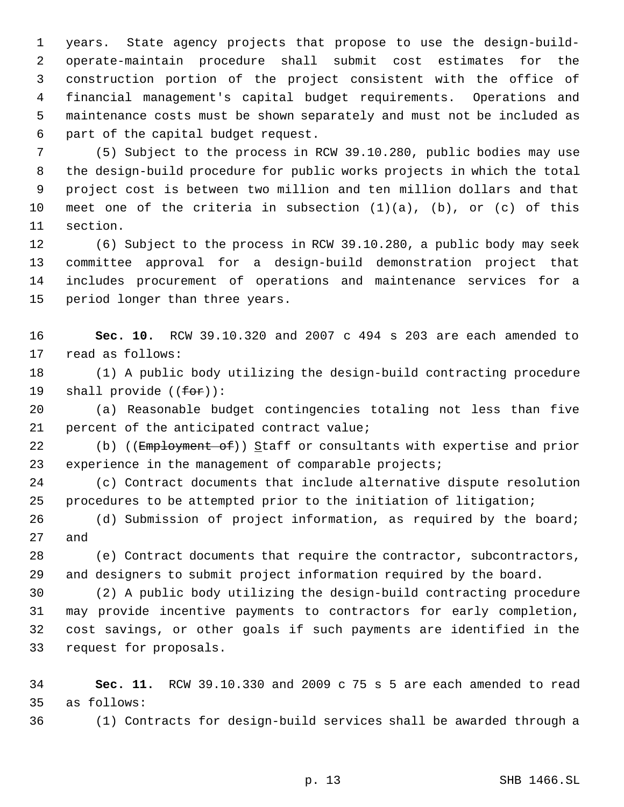years. State agency projects that propose to use the design-build- operate-maintain procedure shall submit cost estimates for the construction portion of the project consistent with the office of financial management's capital budget requirements. Operations and maintenance costs must be shown separately and must not be included as part of the capital budget request.

 (5) Subject to the process in RCW 39.10.280, public bodies may use the design-build procedure for public works projects in which the total project cost is between two million and ten million dollars and that meet one of the criteria in subsection (1)(a), (b), or (c) of this section.

 (6) Subject to the process in RCW 39.10.280, a public body may seek committee approval for a design-build demonstration project that includes procurement of operations and maintenance services for a period longer than three years.

 **Sec. 10.** RCW 39.10.320 and 2007 c 494 s 203 are each amended to read as follows:

 (1) A public body utilizing the design-build contracting procedure 19 shall provide  $((for))$ :

 (a) Reasonable budget contingencies totaling not less than five percent of the anticipated contract value;

22 (b) ((Employment of)) Staff or consultants with expertise and prior 23 experience in the management of comparable projects;

 (c) Contract documents that include alternative dispute resolution procedures to be attempted prior to the initiation of litigation;

 (d) Submission of project information, as required by the board; and

 (e) Contract documents that require the contractor, subcontractors, and designers to submit project information required by the board.

 (2) A public body utilizing the design-build contracting procedure may provide incentive payments to contractors for early completion, cost savings, or other goals if such payments are identified in the request for proposals.

 **Sec. 11.** RCW 39.10.330 and 2009 c 75 s 5 are each amended to read as follows:

(1) Contracts for design-build services shall be awarded through a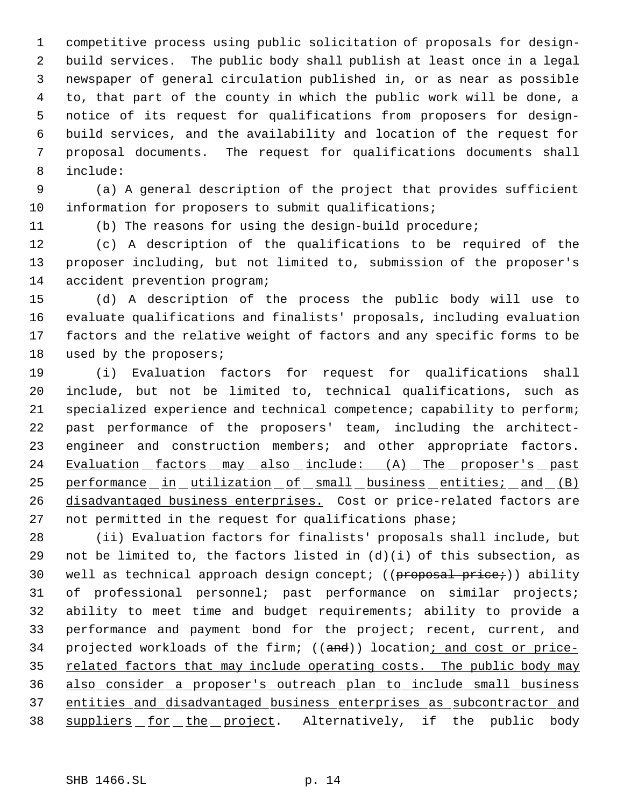competitive process using public solicitation of proposals for design- build services. The public body shall publish at least once in a legal newspaper of general circulation published in, or as near as possible to, that part of the county in which the public work will be done, a notice of its request for qualifications from proposers for design- build services, and the availability and location of the request for proposal documents. The request for qualifications documents shall include:

 (a) A general description of the project that provides sufficient information for proposers to submit qualifications;

(b) The reasons for using the design-build procedure;

 (c) A description of the qualifications to be required of the proposer including, but not limited to, submission of the proposer's accident prevention program;

 (d) A description of the process the public body will use to evaluate qualifications and finalists' proposals, including evaluation factors and the relative weight of factors and any specific forms to be used by the proposers;

 (i) Evaluation factors for request for qualifications shall include, but not be limited to, technical qualifications, such as specialized experience and technical competence; capability to perform; past performance of the proposers' team, including the architect- engineer and construction members; and other appropriate factors. 24 Evaluation factors may also include: (A) The proposer's past 25 performance in utilization of small business entities; and (B) disadvantaged business enterprises. Cost or price-related factors are not permitted in the request for qualifications phase;

 (ii) Evaluation factors for finalists' proposals shall include, but 29 not be limited to, the factors listed in  $(d)(i)$  of this subsection, as 30 well as technical approach design concept; ((proposal price;)) ability of professional personnel; past performance on similar projects; ability to meet time and budget requirements; ability to provide a performance and payment bond for the project; recent, current, and 34 projected workloads of the firm; ((and)) location; and cost or price-35 related factors that may include operating costs. The public body may also consider a proposer's outreach plan to include small business entities and disadvantaged business enterprises as subcontractor and 38 suppliers for the project. Alternatively, if the public body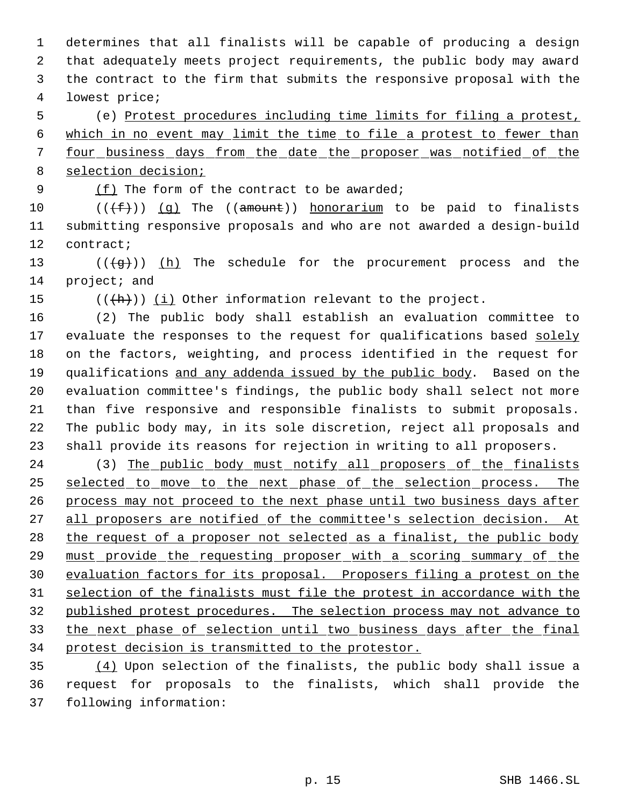determines that all finalists will be capable of producing a design that adequately meets project requirements, the public body may award the contract to the firm that submits the responsive proposal with the lowest price;

 (e) Protest procedures including time limits for filing a protest, which in no event may limit the time to file a protest to fewer than 7 four business days from the date the proposer was notified of the selection decision;

9 (f) The form of the contract to be awarded;

 $((\text{#}))$  (q) The ((amount)) honorarium to be paid to finalists submitting responsive proposals and who are not awarded a design-build contract;

13  $((\frac{1}{9})^n)(h)$  The schedule for the procurement process and the project; and

15  $((+h))$  (i) Other information relevant to the project.

 (2) The public body shall establish an evaluation committee to 17 evaluate the responses to the request for qualifications based solely on the factors, weighting, and process identified in the request for qualifications and any addenda issued by the public body. Based on the evaluation committee's findings, the public body shall select not more than five responsive and responsible finalists to submit proposals. The public body may, in its sole discretion, reject all proposals and shall provide its reasons for rejection in writing to all proposers.

24 (3) The public body must notify all proposers of the finalists selected to move to the next phase of the selection process. The process may not proceed to the next phase until two business days after 27 all proposers are notified of the committee's selection decision. At 28 the request of a proposer not selected as a finalist, the public body must provide the requesting proposer with a scoring summary of the evaluation factors for its proposal. Proposers filing a protest on the selection of the finalists must file the protest in accordance with the published protest procedures. The selection process may not advance to the next phase of selection until two business days after the final protest decision is transmitted to the protestor.

 (4) Upon selection of the finalists, the public body shall issue a request for proposals to the finalists, which shall provide the following information: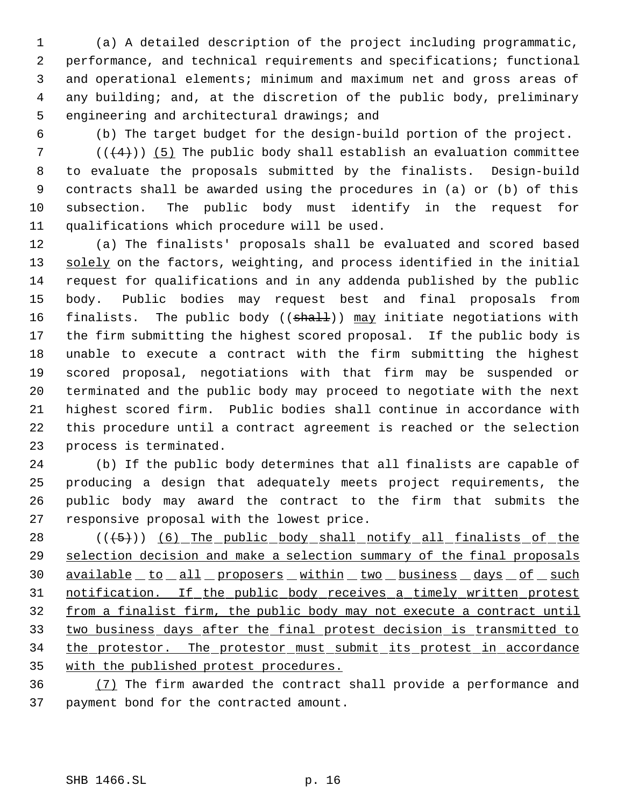(a) A detailed description of the project including programmatic, performance, and technical requirements and specifications; functional and operational elements; minimum and maximum net and gross areas of any building; and, at the discretion of the public body, preliminary engineering and architectural drawings; and

(b) The target budget for the design-build portion of the project.

 $((+4))$  (5) The public body shall establish an evaluation committee to evaluate the proposals submitted by the finalists. Design-build contracts shall be awarded using the procedures in (a) or (b) of this subsection. The public body must identify in the request for qualifications which procedure will be used.

 (a) The finalists' proposals shall be evaluated and scored based 13 solely on the factors, weighting, and process identified in the initial request for qualifications and in any addenda published by the public body. Public bodies may request best and final proposals from 16 finalists. The public body ((shall)) may initiate negotiations with the firm submitting the highest scored proposal. If the public body is unable to execute a contract with the firm submitting the highest scored proposal, negotiations with that firm may be suspended or terminated and the public body may proceed to negotiate with the next highest scored firm. Public bodies shall continue in accordance with this procedure until a contract agreement is reached or the selection process is terminated.

 (b) If the public body determines that all finalists are capable of producing a design that adequately meets project requirements, the public body may award the contract to the firm that submits the responsive proposal with the lowest price.

28 (((5)) (6) The public body shall notify all finalists of the selection decision and make a selection summary of the final proposals 30 available to all proposers within two business days of such notification. If the public body receives a timely written protest from a finalist firm, the public body may not execute a contract until two business days after the final protest decision is transmitted to 34 the protestor. The protestor must submit its protest in accordance with the published protest procedures.

 (7) The firm awarded the contract shall provide a performance and payment bond for the contracted amount.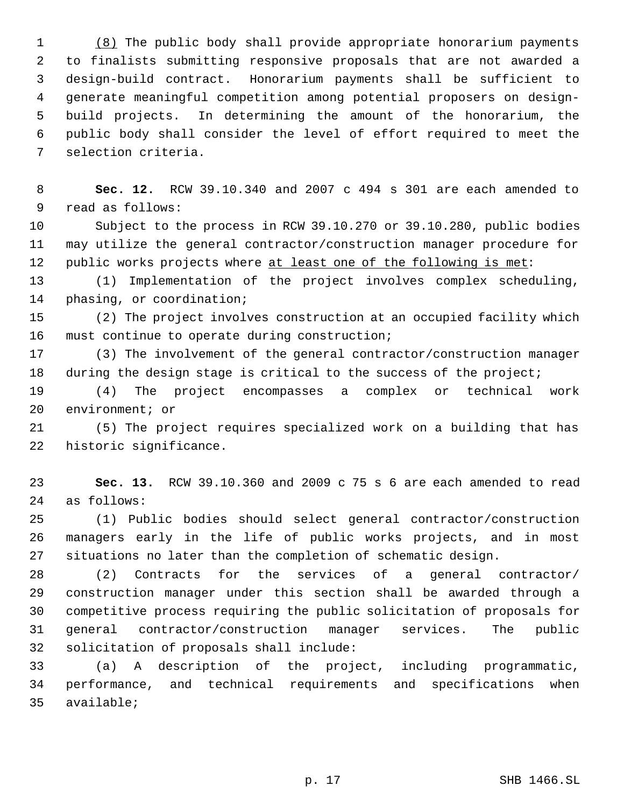(8) The public body shall provide appropriate honorarium payments to finalists submitting responsive proposals that are not awarded a design-build contract. Honorarium payments shall be sufficient to generate meaningful competition among potential proposers on design- build projects. In determining the amount of the honorarium, the public body shall consider the level of effort required to meet the selection criteria.

 **Sec. 12.** RCW 39.10.340 and 2007 c 494 s 301 are each amended to read as follows:

 Subject to the process in RCW 39.10.270 or 39.10.280, public bodies may utilize the general contractor/construction manager procedure for 12 public works projects where at least one of the following is met:

 (1) Implementation of the project involves complex scheduling, phasing, or coordination;

 (2) The project involves construction at an occupied facility which must continue to operate during construction;

 (3) The involvement of the general contractor/construction manager 18 during the design stage is critical to the success of the project;

 (4) The project encompasses a complex or technical work environment; or

 (5) The project requires specialized work on a building that has historic significance.

 **Sec. 13.** RCW 39.10.360 and 2009 c 75 s 6 are each amended to read as follows:

 (1) Public bodies should select general contractor/construction managers early in the life of public works projects, and in most situations no later than the completion of schematic design.

 (2) Contracts for the services of a general contractor/ construction manager under this section shall be awarded through a competitive process requiring the public solicitation of proposals for general contractor/construction manager services. The public solicitation of proposals shall include:

 (a) A description of the project, including programmatic, performance, and technical requirements and specifications when available;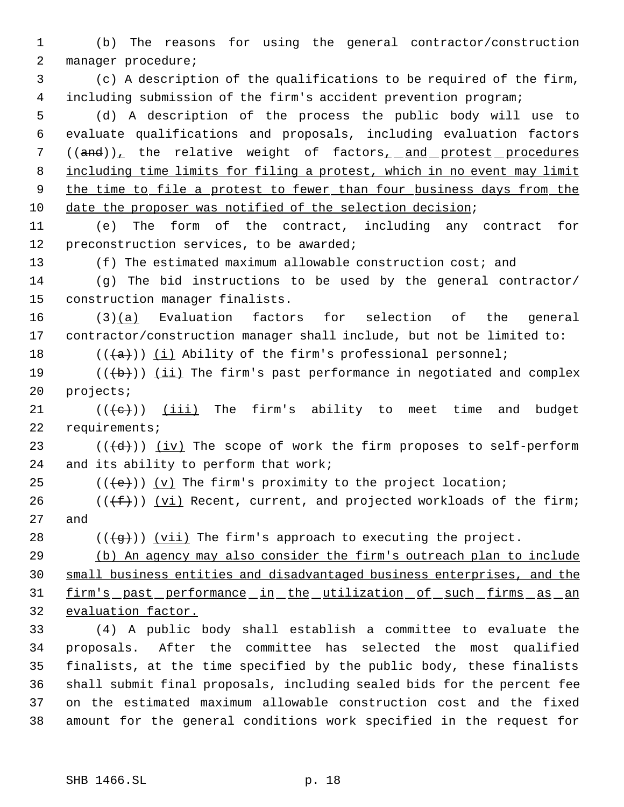(b) The reasons for using the general contractor/construction manager procedure;

 (c) A description of the qualifications to be required of the firm, including submission of the firm's accident prevention program;

 (d) A description of the process the public body will use to evaluate qualifications and proposals, including evaluation factors 7 ((and)), the relative weight of factors, and protest procedures 8 including time limits for filing a protest, which in no event may limit 9 the time to file a protest to fewer than four business days from the date the proposer was notified of the selection decision;

 (e) The form of the contract, including any contract for 12 preconstruction services, to be awarded;

(f) The estimated maximum allowable construction cost; and

 (g) The bid instructions to be used by the general contractor/ construction manager finalists.

 (3)(a) Evaluation factors for selection of the general contractor/construction manager shall include, but not be limited to:

18  $((+a))$   $(i)$  Ability of the firm's professional personnel;

 $((\{b\}))(\{ii\})$  The firm's past performance in negotiated and complex projects;

21  $((\{e\})$  (iii) The firm's ability to meet time and budget requirements;

23 ( $(\langle dd \rangle)$ ) (iv) The scope of work the firm proposes to self-perform and its ability to perform that work;

25  $((\{e\}) \cup (v)$  The firm's proximity to the project location;

26 ( $(\{\text{f}\})$ ) (vi) Recent, current, and projected workloads of the firm; and

28 ( $(\frac{1}{9})$ ) (vii) The firm's approach to executing the project.

 (b) An agency may also consider the firm's outreach plan to include small business entities and disadvantaged business enterprises, and the firm's past performance in the utilization of such firms as an evaluation factor.

 (4) A public body shall establish a committee to evaluate the proposals. After the committee has selected the most qualified finalists, at the time specified by the public body, these finalists shall submit final proposals, including sealed bids for the percent fee on the estimated maximum allowable construction cost and the fixed amount for the general conditions work specified in the request for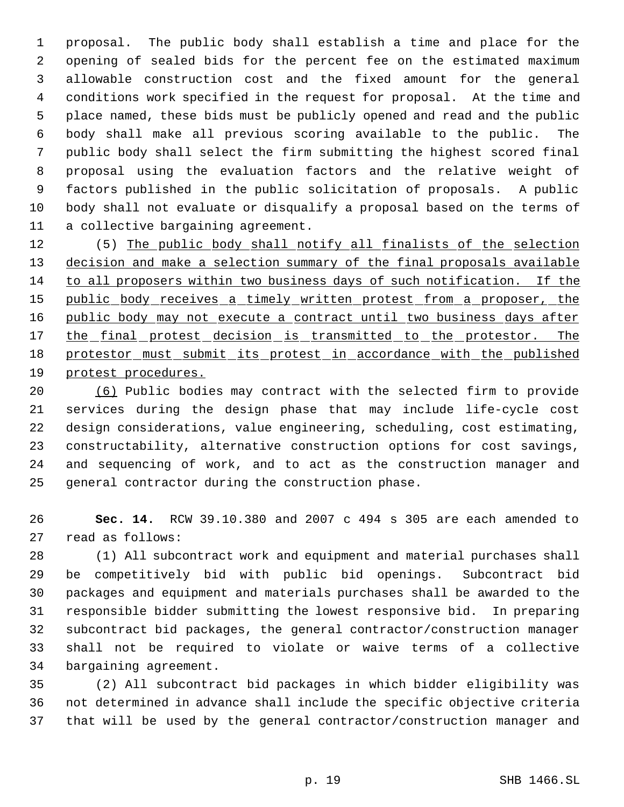proposal. The public body shall establish a time and place for the opening of sealed bids for the percent fee on the estimated maximum allowable construction cost and the fixed amount for the general conditions work specified in the request for proposal. At the time and place named, these bids must be publicly opened and read and the public body shall make all previous scoring available to the public. The public body shall select the firm submitting the highest scored final proposal using the evaluation factors and the relative weight of factors published in the public solicitation of proposals. A public body shall not evaluate or disqualify a proposal based on the terms of a collective bargaining agreement.

12 (5) The public body shall notify all finalists of the selection 13 decision and make a selection summary of the final proposals available to all proposers within two business days of such notification. If the 15 public body receives a timely written protest from a proposer, the 16 public body may not execute a contract until two business days after 17 the final protest decision is transmitted to the protestor. The 18 protestor must submit its protest in accordance with the published protest procedures.

 (6) Public bodies may contract with the selected firm to provide services during the design phase that may include life-cycle cost design considerations, value engineering, scheduling, cost estimating, constructability, alternative construction options for cost savings, and sequencing of work, and to act as the construction manager and general contractor during the construction phase.

 **Sec. 14.** RCW 39.10.380 and 2007 c 494 s 305 are each amended to read as follows:

 (1) All subcontract work and equipment and material purchases shall be competitively bid with public bid openings. Subcontract bid packages and equipment and materials purchases shall be awarded to the responsible bidder submitting the lowest responsive bid. In preparing subcontract bid packages, the general contractor/construction manager shall not be required to violate or waive terms of a collective bargaining agreement.

 (2) All subcontract bid packages in which bidder eligibility was not determined in advance shall include the specific objective criteria that will be used by the general contractor/construction manager and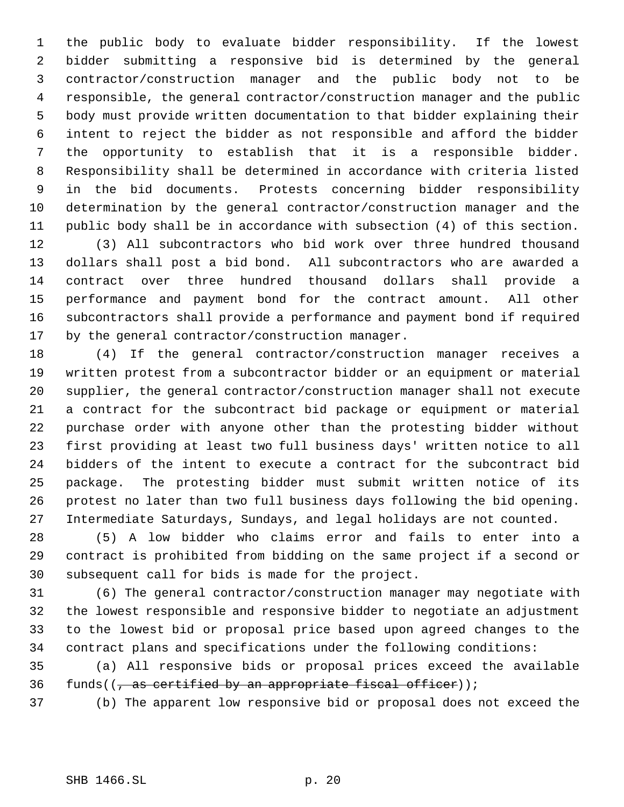the public body to evaluate bidder responsibility. If the lowest bidder submitting a responsive bid is determined by the general contractor/construction manager and the public body not to be responsible, the general contractor/construction manager and the public body must provide written documentation to that bidder explaining their intent to reject the bidder as not responsible and afford the bidder the opportunity to establish that it is a responsible bidder. Responsibility shall be determined in accordance with criteria listed in the bid documents. Protests concerning bidder responsibility determination by the general contractor/construction manager and the public body shall be in accordance with subsection (4) of this section.

 (3) All subcontractors who bid work over three hundred thousand dollars shall post a bid bond. All subcontractors who are awarded a contract over three hundred thousand dollars shall provide a performance and payment bond for the contract amount. All other subcontractors shall provide a performance and payment bond if required by the general contractor/construction manager.

 (4) If the general contractor/construction manager receives a written protest from a subcontractor bidder or an equipment or material supplier, the general contractor/construction manager shall not execute a contract for the subcontract bid package or equipment or material purchase order with anyone other than the protesting bidder without first providing at least two full business days' written notice to all bidders of the intent to execute a contract for the subcontract bid package. The protesting bidder must submit written notice of its protest no later than two full business days following the bid opening. Intermediate Saturdays, Sundays, and legal holidays are not counted.

 (5) A low bidder who claims error and fails to enter into a contract is prohibited from bidding on the same project if a second or subsequent call for bids is made for the project.

 (6) The general contractor/construction manager may negotiate with the lowest responsible and responsive bidder to negotiate an adjustment to the lowest bid or proposal price based upon agreed changes to the contract plans and specifications under the following conditions:

 (a) All responsive bids or proposal prices exceed the available 36 funds( $\left(\frac{1}{2}, \frac{1}{2}\right)$  certified by an appropriate fiscal officer));

(b) The apparent low responsive bid or proposal does not exceed the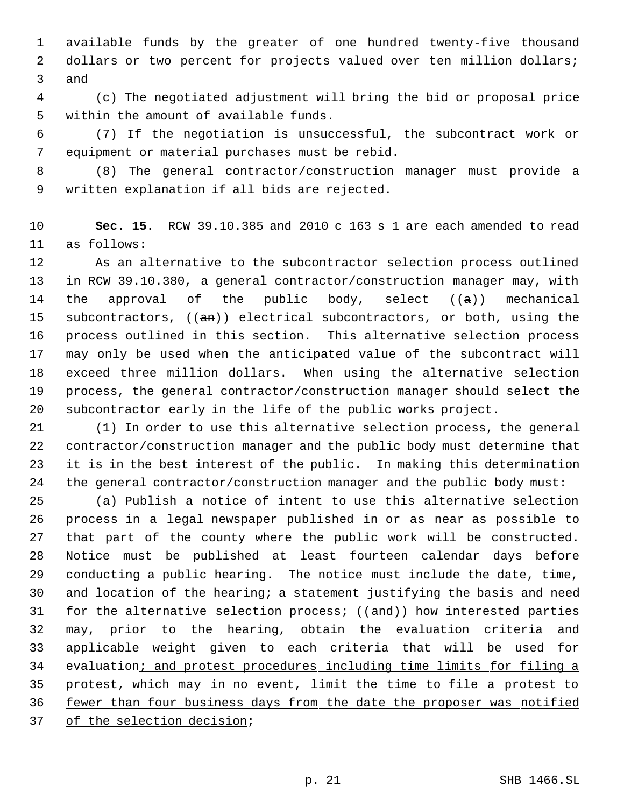available funds by the greater of one hundred twenty-five thousand 2 dollars or two percent for projects valued over ten million dollars; and

 (c) The negotiated adjustment will bring the bid or proposal price within the amount of available funds.

 (7) If the negotiation is unsuccessful, the subcontract work or equipment or material purchases must be rebid.

 (8) The general contractor/construction manager must provide a written explanation if all bids are rejected.

 **Sec. 15.** RCW 39.10.385 and 2010 c 163 s 1 are each amended to read as follows:

 As an alternative to the subcontractor selection process outlined in RCW 39.10.380, a general contractor/construction manager may, with 14 the approval of the public body, select  $((a))$  mechanical 15 subcontractors,  $((an))$  electrical subcontractors, or both, using the process outlined in this section. This alternative selection process may only be used when the anticipated value of the subcontract will exceed three million dollars. When using the alternative selection process, the general contractor/construction manager should select the subcontractor early in the life of the public works project.

 (1) In order to use this alternative selection process, the general contractor/construction manager and the public body must determine that it is in the best interest of the public. In making this determination the general contractor/construction manager and the public body must:

 (a) Publish a notice of intent to use this alternative selection process in a legal newspaper published in or as near as possible to that part of the county where the public work will be constructed. Notice must be published at least fourteen calendar days before conducting a public hearing. The notice must include the date, time, and location of the hearing; a statement justifying the basis and need 31 for the alternative selection process;  $((and))$  how interested parties may, prior to the hearing, obtain the evaluation criteria and applicable weight given to each criteria that will be used for 34 evaluation; and protest procedures including time limits for filing a protest, which may in no event, limit the time to file a protest to 36 fewer than four business days from the date the proposer was notified 37 of the selection decision;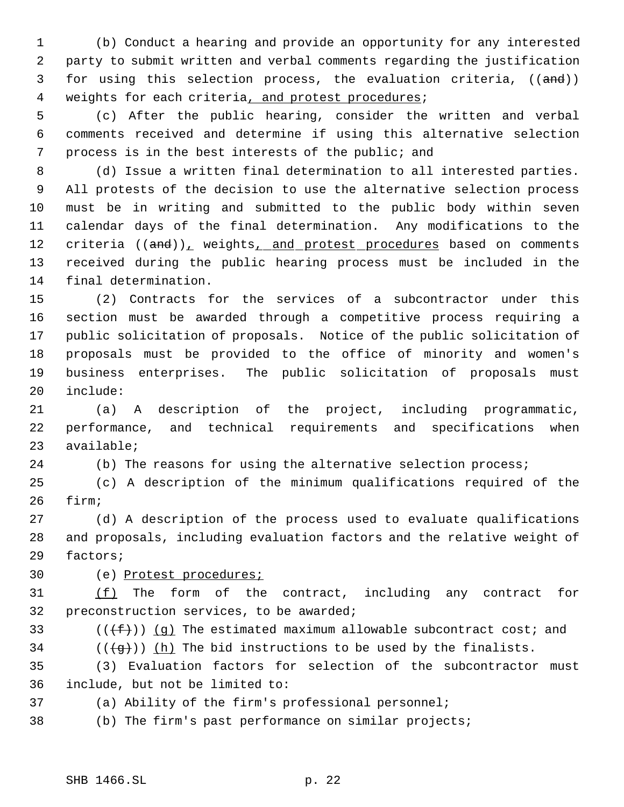(b) Conduct a hearing and provide an opportunity for any interested party to submit written and verbal comments regarding the justification 3 for using this selection process, the evaluation criteria, ((and)) 4 weights for each criteria, and protest procedures;

 (c) After the public hearing, consider the written and verbal comments received and determine if using this alternative selection process is in the best interests of the public; and

 (d) Issue a written final determination to all interested parties. All protests of the decision to use the alternative selection process must be in writing and submitted to the public body within seven calendar days of the final determination. Any modifications to the 12 criteria ((and)), weights, and protest procedures based on comments received during the public hearing process must be included in the final determination.

 (2) Contracts for the services of a subcontractor under this section must be awarded through a competitive process requiring a public solicitation of proposals. Notice of the public solicitation of proposals must be provided to the office of minority and women's business enterprises. The public solicitation of proposals must include:

 (a) A description of the project, including programmatic, performance, and technical requirements and specifications when available;

24 (b) The reasons for using the alternative selection process;

 (c) A description of the minimum qualifications required of the firm;

 (d) A description of the process used to evaluate qualifications and proposals, including evaluation factors and the relative weight of factors;

(e) Protest procedures;

 (f) The form of the contract, including any contract for preconstruction services, to be awarded;

33 ( $(\overline{f})$ ) (g) The estimated maximum allowable subcontract cost; and 34 ( $(\overline{g})$ ) (h) The bid instructions to be used by the finalists.

 (3) Evaluation factors for selection of the subcontractor must include, but not be limited to:

(a) Ability of the firm's professional personnel;

(b) The firm's past performance on similar projects;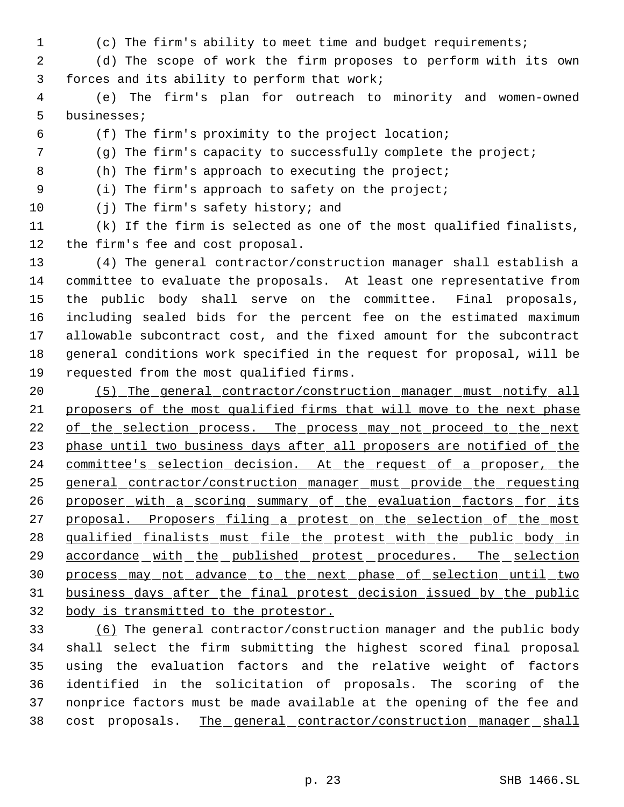(c) The firm's ability to meet time and budget requirements;

 (d) The scope of work the firm proposes to perform with its own forces and its ability to perform that work;

 (e) The firm's plan for outreach to minority and women-owned businesses;

(f) The firm's proximity to the project location;

(g) The firm's capacity to successfully complete the project;

(h) The firm's approach to executing the project;

(i) The firm's approach to safety on the project;

(j) The firm's safety history; and

 (k) If the firm is selected as one of the most qualified finalists, the firm's fee and cost proposal.

 (4) The general contractor/construction manager shall establish a committee to evaluate the proposals. At least one representative from the public body shall serve on the committee. Final proposals, including sealed bids for the percent fee on the estimated maximum allowable subcontract cost, and the fixed amount for the subcontract general conditions work specified in the request for proposal, will be requested from the most qualified firms.

 (5) The general contractor/construction manager must notify all proposers of the most qualified firms that will move to the next phase 22 of the selection process. The process may not proceed to the next 23 phase until two business days after all proposers are notified of the 24 committee's selection decision. At the request of a proposer, the general contractor/construction manager must provide the requesting 26 proposer with a scoring summary of the evaluation factors for its 27 proposal. Proposers filing a protest on the selection of the most qualified finalists must file the protest with the public body in 29 accordance with the published protest procedures. The selection 30 process may not advance to the next phase of selection until two business days after the final protest decision issued by the public body is transmitted to the protestor.

 (6) The general contractor/construction manager and the public body shall select the firm submitting the highest scored final proposal using the evaluation factors and the relative weight of factors identified in the solicitation of proposals. The scoring of the nonprice factors must be made available at the opening of the fee and 38 cost proposals. The general contractor/construction manager shall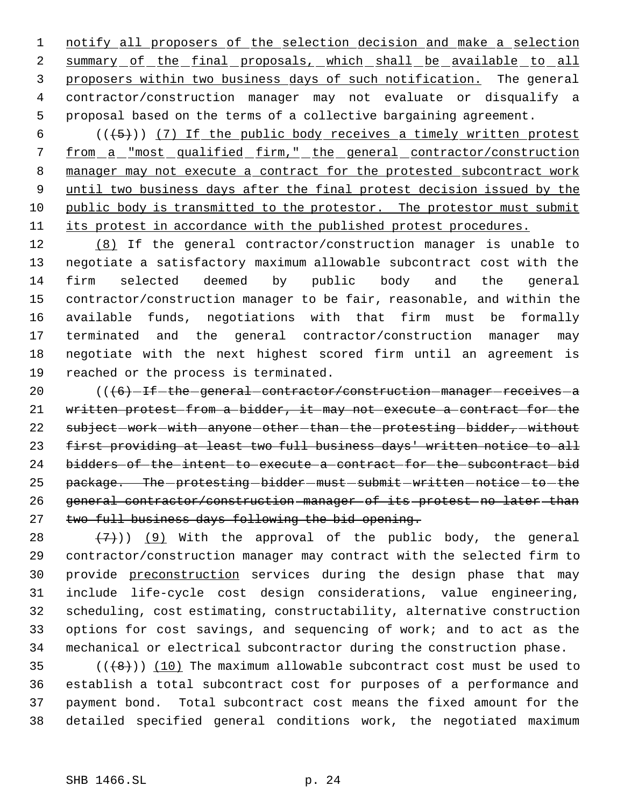1 notify all proposers of the selection decision and make a selection 2 summary of the final proposals, which shall be available to all 3 proposers within two business days of such notification. The general contractor/construction manager may not evaluate or disqualify a proposal based on the terms of a collective bargaining agreement.

 $((+5))$  (7) If the public body receives a timely written protest 7 from a "most qualified firm," the general contractor/construction 8 manager may not execute a contract for the protested subcontract work until two business days after the final protest decision issued by the public body is transmitted to the protestor. The protestor must submit its protest in accordance with the published protest procedures.

 (8) If the general contractor/construction manager is unable to negotiate a satisfactory maximum allowable subcontract cost with the firm selected deemed by public body and the general contractor/construction manager to be fair, reasonable, and within the available funds, negotiations with that firm must be formally terminated and the general contractor/construction manager may negotiate with the next highest scored firm until an agreement is reached or the process is terminated.

 $((6)$ -If-the-general-contractor/construction-manager-receives-a written protest from a bidder, it may not execute a contract for the 22 subject-work-with-anyone-other-than-the-protesting-bidder,-without first providing at least two full business days' written notice to all bidders of the intent to execute a contract for the subcontract bid 25 package. The protesting - bidder - must - submit - written - notice - to - the general contractor/construction manager of its protest no later than 27 two full business days following the bid opening.

 $(7)$ )) (9) With the approval of the public body, the general contractor/construction manager may contract with the selected firm to provide preconstruction services during the design phase that may include life-cycle cost design considerations, value engineering, scheduling, cost estimating, constructability, alternative construction options for cost savings, and sequencing of work; and to act as the mechanical or electrical subcontractor during the construction phase.

 $((+8))$   $(10)$  The maximum allowable subcontract cost must be used to establish a total subcontract cost for purposes of a performance and payment bond. Total subcontract cost means the fixed amount for the detailed specified general conditions work, the negotiated maximum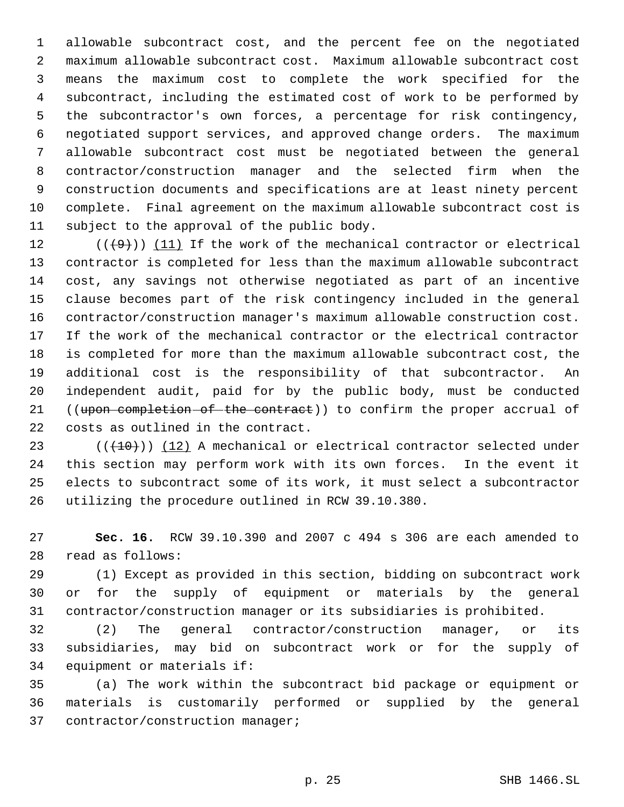allowable subcontract cost, and the percent fee on the negotiated maximum allowable subcontract cost. Maximum allowable subcontract cost means the maximum cost to complete the work specified for the subcontract, including the estimated cost of work to be performed by the subcontractor's own forces, a percentage for risk contingency, negotiated support services, and approved change orders. The maximum allowable subcontract cost must be negotiated between the general contractor/construction manager and the selected firm when the construction documents and specifications are at least ninety percent complete. Final agreement on the maximum allowable subcontract cost is subject to the approval of the public body.

 $((+9))$  (11) If the work of the mechanical contractor or electrical contractor is completed for less than the maximum allowable subcontract cost, any savings not otherwise negotiated as part of an incentive clause becomes part of the risk contingency included in the general contractor/construction manager's maximum allowable construction cost. If the work of the mechanical contractor or the electrical contractor is completed for more than the maximum allowable subcontract cost, the additional cost is the responsibility of that subcontractor. An independent audit, paid for by the public body, must be conducted 21 ((upon completion of the contract)) to confirm the proper accrual of costs as outlined in the contract.

23 (( $(10)$ )) (12) A mechanical or electrical contractor selected under this section may perform work with its own forces. In the event it elects to subcontract some of its work, it must select a subcontractor utilizing the procedure outlined in RCW 39.10.380.

 **Sec. 16.** RCW 39.10.390 and 2007 c 494 s 306 are each amended to read as follows:

 (1) Except as provided in this section, bidding on subcontract work or for the supply of equipment or materials by the general contractor/construction manager or its subsidiaries is prohibited.

 (2) The general contractor/construction manager, or its subsidiaries, may bid on subcontract work or for the supply of equipment or materials if:

 (a) The work within the subcontract bid package or equipment or materials is customarily performed or supplied by the general contractor/construction manager;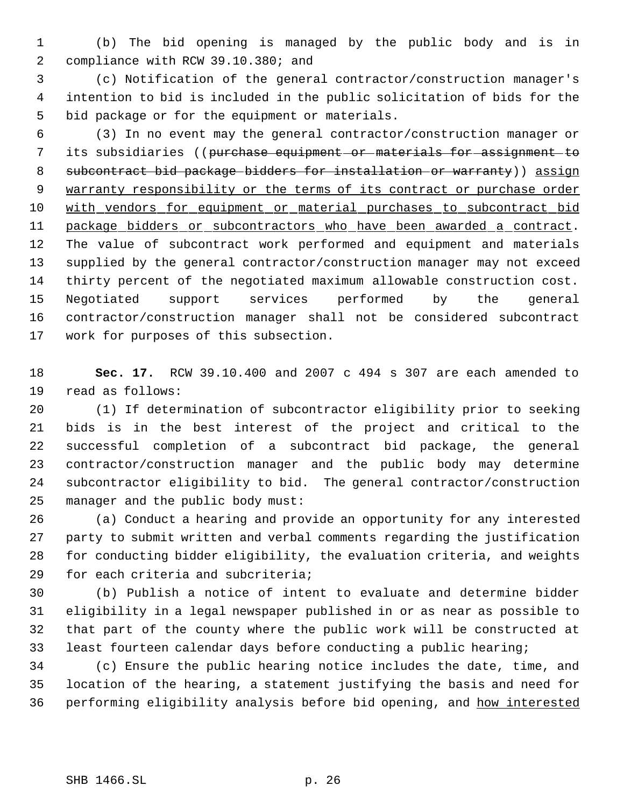(b) The bid opening is managed by the public body and is in compliance with RCW 39.10.380; and

 (c) Notification of the general contractor/construction manager's intention to bid is included in the public solicitation of bids for the bid package or for the equipment or materials.

 (3) In no event may the general contractor/construction manager or 7 its subsidiaries ((purchase equipment or materials for assignment to 8 subcontract bid package bidders for installation or warranty)) assign 9 warranty responsibility or the terms of its contract or purchase order with vendors for equipment or material purchases to subcontract bid 11 package bidders or subcontractors who have been awarded a contract. The value of subcontract work performed and equipment and materials supplied by the general contractor/construction manager may not exceed thirty percent of the negotiated maximum allowable construction cost. Negotiated support services performed by the general contractor/construction manager shall not be considered subcontract work for purposes of this subsection.

 **Sec. 17.** RCW 39.10.400 and 2007 c 494 s 307 are each amended to read as follows:

 (1) If determination of subcontractor eligibility prior to seeking bids is in the best interest of the project and critical to the successful completion of a subcontract bid package, the general contractor/construction manager and the public body may determine subcontractor eligibility to bid. The general contractor/construction manager and the public body must:

 (a) Conduct a hearing and provide an opportunity for any interested party to submit written and verbal comments regarding the justification for conducting bidder eligibility, the evaluation criteria, and weights for each criteria and subcriteria;

 (b) Publish a notice of intent to evaluate and determine bidder eligibility in a legal newspaper published in or as near as possible to that part of the county where the public work will be constructed at least fourteen calendar days before conducting a public hearing;

 (c) Ensure the public hearing notice includes the date, time, and location of the hearing, a statement justifying the basis and need for 36 performing eligibility analysis before bid opening, and how interested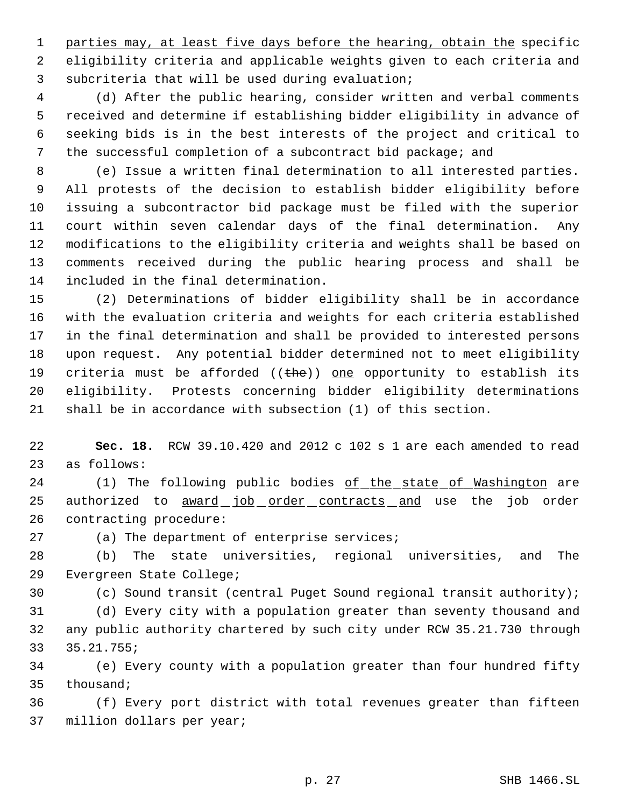1 parties may, at least five days before the hearing, obtain the specific eligibility criteria and applicable weights given to each criteria and subcriteria that will be used during evaluation;

 (d) After the public hearing, consider written and verbal comments received and determine if establishing bidder eligibility in advance of seeking bids is in the best interests of the project and critical to the successful completion of a subcontract bid package; and

 (e) Issue a written final determination to all interested parties. All protests of the decision to establish bidder eligibility before issuing a subcontractor bid package must be filed with the superior court within seven calendar days of the final determination. Any modifications to the eligibility criteria and weights shall be based on comments received during the public hearing process and shall be included in the final determination.

 (2) Determinations of bidder eligibility shall be in accordance with the evaluation criteria and weights for each criteria established in the final determination and shall be provided to interested persons upon request. Any potential bidder determined not to meet eligibility 19 criteria must be afforded  $((the h e))$  one opportunity to establish its eligibility. Protests concerning bidder eligibility determinations shall be in accordance with subsection (1) of this section.

 **Sec. 18.** RCW 39.10.420 and 2012 c 102 s 1 are each amended to read as follows:

24 (1) The following public bodies of the state of Washington are 25 authorized to **award** job order contracts and use the job order contracting procedure:

(a) The department of enterprise services;

 (b) The state universities, regional universities, and The Evergreen State College;

(c) Sound transit (central Puget Sound regional transit authority);

 (d) Every city with a population greater than seventy thousand and any public authority chartered by such city under RCW 35.21.730 through 35.21.755;

 (e) Every county with a population greater than four hundred fifty thousand;

 (f) Every port district with total revenues greater than fifteen million dollars per year;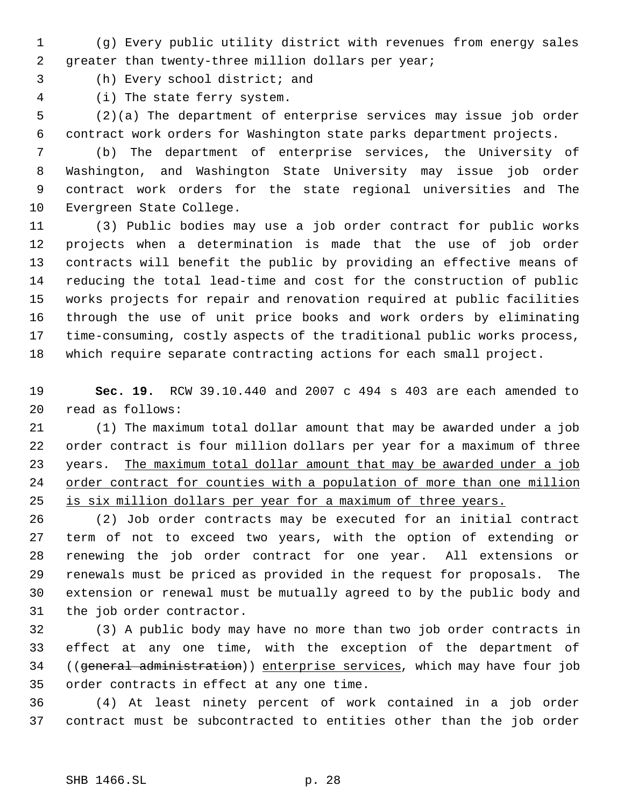- (g) Every public utility district with revenues from energy sales greater than twenty-three million dollars per year;
- (h) Every school district; and
- (i) The state ferry system.

 (2)(a) The department of enterprise services may issue job order contract work orders for Washington state parks department projects.

 (b) The department of enterprise services, the University of Washington, and Washington State University may issue job order contract work orders for the state regional universities and The Evergreen State College.

 (3) Public bodies may use a job order contract for public works projects when a determination is made that the use of job order contracts will benefit the public by providing an effective means of reducing the total lead-time and cost for the construction of public works projects for repair and renovation required at public facilities through the use of unit price books and work orders by eliminating time-consuming, costly aspects of the traditional public works process, which require separate contracting actions for each small project.

 **Sec. 19.** RCW 39.10.440 and 2007 c 494 s 403 are each amended to read as follows:

 (1) The maximum total dollar amount that may be awarded under a job order contract is four million dollars per year for a maximum of three 23 years. The maximum total dollar amount that may be awarded under a job order contract for counties with a population of more than one million 25 is six million dollars per year for a maximum of three years.

 (2) Job order contracts may be executed for an initial contract term of not to exceed two years, with the option of extending or renewing the job order contract for one year. All extensions or renewals must be priced as provided in the request for proposals. The extension or renewal must be mutually agreed to by the public body and the job order contractor.

 (3) A public body may have no more than two job order contracts in effect at any one time, with the exception of the department of 34 ((general administration)) enterprise services, which may have four job order contracts in effect at any one time.

 (4) At least ninety percent of work contained in a job order contract must be subcontracted to entities other than the job order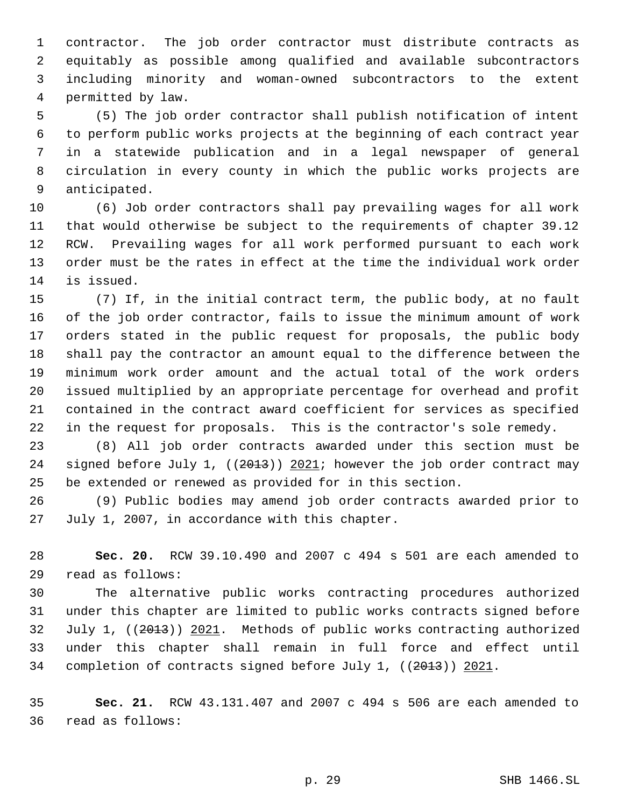contractor. The job order contractor must distribute contracts as equitably as possible among qualified and available subcontractors including minority and woman-owned subcontractors to the extent permitted by law.

 (5) The job order contractor shall publish notification of intent to perform public works projects at the beginning of each contract year in a statewide publication and in a legal newspaper of general circulation in every county in which the public works projects are anticipated.

 (6) Job order contractors shall pay prevailing wages for all work that would otherwise be subject to the requirements of chapter 39.12 RCW. Prevailing wages for all work performed pursuant to each work order must be the rates in effect at the time the individual work order is issued.

 (7) If, in the initial contract term, the public body, at no fault of the job order contractor, fails to issue the minimum amount of work orders stated in the public request for proposals, the public body shall pay the contractor an amount equal to the difference between the minimum work order amount and the actual total of the work orders issued multiplied by an appropriate percentage for overhead and profit contained in the contract award coefficient for services as specified in the request for proposals. This is the contractor's sole remedy.

 (8) All job order contracts awarded under this section must be 24 signed before July 1, ((2013)) 2021; however the job order contract may be extended or renewed as provided for in this section.

 (9) Public bodies may amend job order contracts awarded prior to July 1, 2007, in accordance with this chapter.

 **Sec. 20.** RCW 39.10.490 and 2007 c 494 s 501 are each amended to read as follows:

 The alternative public works contracting procedures authorized under this chapter are limited to public works contracts signed before July 1, ((2013)) 2021. Methods of public works contracting authorized under this chapter shall remain in full force and effect until 34 completion of contracts signed before July 1, ((2013)) 2021.

 **Sec. 21.** RCW 43.131.407 and 2007 c 494 s 506 are each amended to read as follows: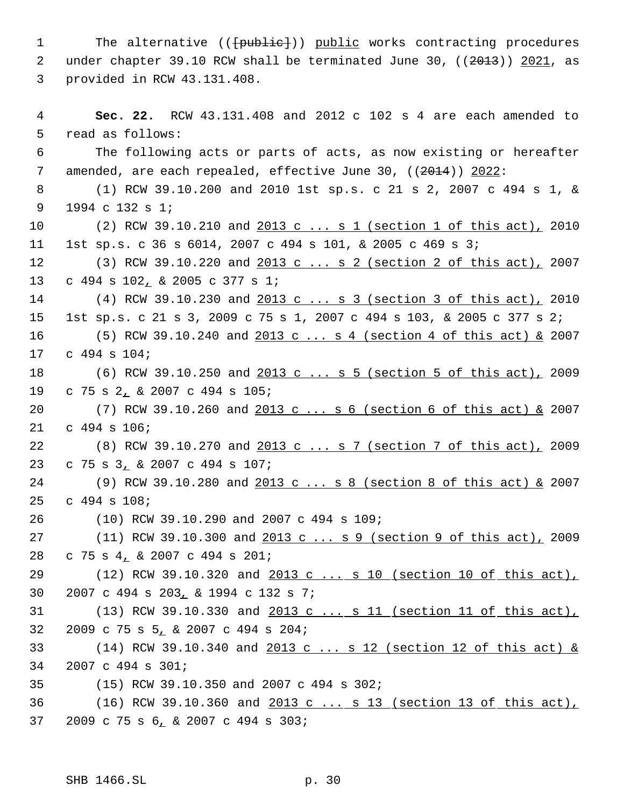1 The alternative (( ${+}$ public<sup>+</sup>)) public works contracting procedures 2 under chapter 39.10 RCW shall be terminated June 30, ((2013)) 2021, as provided in RCW 43.131.408.

 **Sec. 22.** RCW 43.131.408 and 2012 c 102 s 4 are each amended to read as follows: The following acts or parts of acts, as now existing or hereafter 7 amended, are each repealed, effective June 30, ((2014)) 2022: (1) RCW 39.10.200 and 2010 1st sp.s. c 21 s 2, 2007 c 494 s 1, & 1994 c 132 s 1; (2) RCW 39.10.210 and 2013 c ... s 1 (section 1 of this act), 2010 1st sp.s. c 36 s 6014, 2007 c 494 s 101, & 2005 c 469 s 3; 12 (3) RCW 39.10.220 and 2013 c ... s 2 (section 2 of this act), 2007 c 494 s 102, & 2005 c 377 s 1; 14 (4) RCW 39.10.230 and 2013 c ... s 3 (section 3 of this act), 2010 1st sp.s. c 21 s 3, 2009 c 75 s 1, 2007 c 494 s 103, & 2005 c 377 s 2; 16 (5) RCW 39.10.240 and 2013 c ... s 4 (section 4 of this act) & 2007 c 494 s 104; (6) RCW 39.10.250 and 2013 c ... s 5 (section 5 of this act), 2009 c 75 s 2, & 2007 c 494 s 105; 20 (7) RCW 39.10.260 and 2013 c ... s 6 (section 6 of this act) & 2007 c 494 s 106; 22 (8) RCW 39.10.270 and 2013 c ... s 7 (section 7 of this act), 2009 c 75 s 3, & 2007 c 494 s 107; 24 (9) RCW 39.10.280 and 2013 c ... s 8 (section 8 of this act) & 2007 c 494 s 108; (10) RCW 39.10.290 and 2007 c 494 s 109; (11) RCW 39.10.300 and 2013 c ... s 9 (section 9 of this act), 2009 c 75 s 4, & 2007 c 494 s 201; 29 (12) RCW 39.10.320 and 2013 c ... s 10 (section 10 of this act), 2007 c 494 s 203, & 1994 c 132 s 7; (13) RCW 39.10.330 and 2013 c ... s 11 (section 11 of this act), 2009 c 75 s 5, & 2007 c 494 s 204; (14) RCW 39.10.340 and 2013 c ... s 12 (section 12 of this act) & 2007 c 494 s 301; (15) RCW 39.10.350 and 2007 c 494 s 302; (16) RCW 39.10.360 and 2013 c ... s 13 (section 13 of this act), 2009 c 75 s 6, & 2007 c 494 s 303;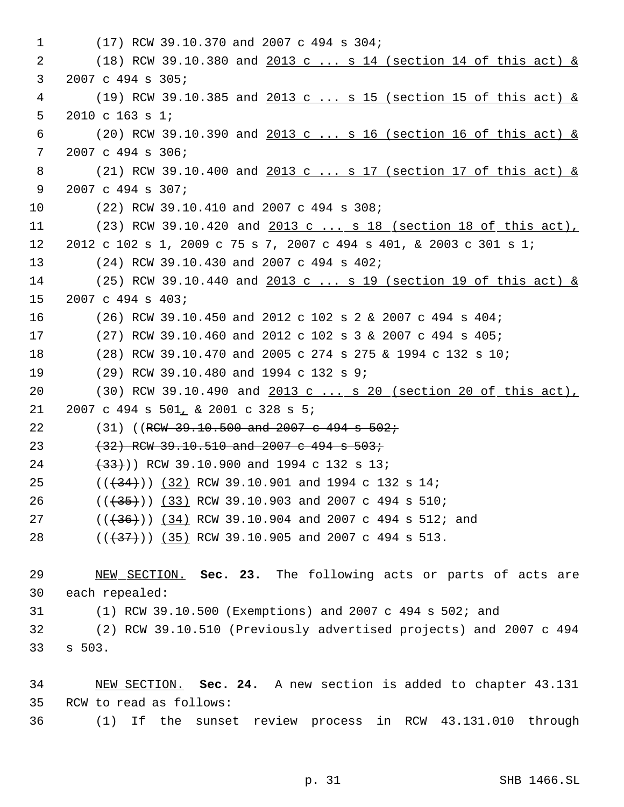```
 1 (17) RCW 39.10.370 and 2007 c 494 s 304;
 2 (18) RCW 39.10.380 and 2013 c ... s 14 (section 14 of this act) &
 3 2007 c 494 s 305;
 4 (19) RCW 39.10.385 and 2013 c ... s 15 (section 15 of this act) &
 5 2010 c 163 s 1;
 6 (20) RCW 39.10.390 and 2013 c ... s 16 (section 16 of this act) &
 7 2007 c 494 s 306;
 8 (21) RCW 39.10.400 and 2013 c ... s 17 (section 17 of this act) &
 9 2007 c 494 s 307;
10 (22) RCW 39.10.410 and 2007 c 494 s 308;
11 (23) RCW 39.10.420 and 2013 c ... s 18 (section 18 of this act),
12 2012 c 102 s 1, 2009 c 75 s 7, 2007 c 494 s 401, & 2003 c 301 s 1;
13 (24) RCW 39.10.430 and 2007 c 494 s 402;
14 (25) RCW 39.10.440 and 2013 c ... s 19 (section 19 of this act) &
15 2007 c 494 s 403;
16 (26) RCW 39.10.450 and 2012 c 102 s 2 & 2007 c 494 s 404;
17 (27) RCW 39.10.460 and 2012 c 102 s 3 & 2007 c 494 s 405;
18 (28) RCW 39.10.470 and 2005 c 274 s 275 & 1994 c 132 s 10;
19 (29) RCW 39.10.480 and 1994 c 132 s 9;
20 (30) RCW 39.10.490 and 2013 c ... s 20 (section 20 of this act),
21 2007 c 494 s 501, & 2001 c 328 s 5;
22 (31) ((RCW 39.10.500 and 2007 c 494 s 502;
23 (32) RCW 39.10.510 and 2007 c 494 s 503;
24 (33)) RCW 39.10.900 and 1994 c 132 s 13;
25 ((\frac{34}{34})) (32) RCW 39.10.901 and 1994 c 132 s 14;
26 ((\left(\frac{35}{3}\right)) (33) RCW 39.10.903 and 2007 c 494 s 510;
27 ((\frac{36}{36})) (34) RCW 39.10.904 and 2007 c 494 s 512; and
28 ((\left(\frac{37}{1}\right)) (35) RCW 39.10.905 and 2007 c 494 s 513.
29 NEW SECTION. Sec. 23. The following acts or parts of acts are
30 each repealed:
31 (1) RCW 39.10.500 (Exemptions) and 2007 c 494 s 502; and
32 (2) RCW 39.10.510 (Previously advertised projects) and 2007 c 494
33 s 503.
34 NEW SECTION. Sec. 24. A new section is added to chapter 43.131
35 RCW to read as follows:
36 (1) If the sunset review process in RCW 43.131.010 through
```